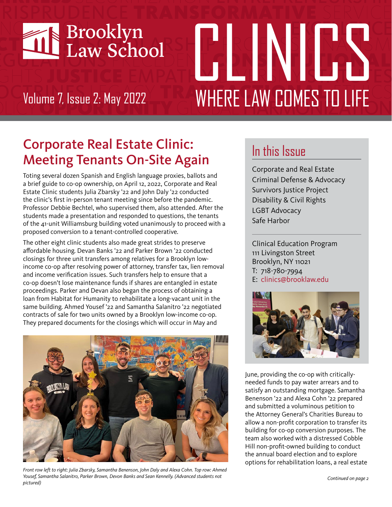

# CRISNICS N Volume 7, Issue 2: May 2022 **WHERE LAW COMES TO LIFE**

# Corporate Real Estate Clinic: Meeting Tenants On-Site Again

Toting several dozen Spanish and English language proxies, ballots and a brief guide to co-op ownership, on April 12, 2022, Corporate and Real Estate Clinic students Julia Zbarsky '22 and John Daly '22 conducted the clinic's first in-person tenant meeting since before the pandemic. Professor Debbie Bechtel, who supervised them, also attended. After the students made a presentation and responded to questions, the tenants of the 41-unit Williamsburg building voted unanimously to proceed with a proposed conversion to a tenant-controlled cooperative.

The other eight clinic students also made great strides to preserve affordable housing. Devan Banks '22 and Parker Brown '22 conducted closings for three unit transfers among relatives for a Brooklyn lowincome co-op after resolving power of attorney, transfer tax, lien removal and income verification issues. Such transfers help to ensure that a co-op doesn't lose maintenance funds if shares are entangled in estate proceedings. Parker and Devan also began the process of obtaining a loan from Habitat for Humanity to rehabilitate a long-vacant unit in the same building. Ahmed Yousef '22 and Samantha Salanitro '22 negotiated contracts of sale for two units owned by a Brooklyn low-income co-op. They prepared documents for the closings which will occur in May and



*Front row left to right: Julia Zbarsky, Samantha Benenson, John Daly and Alexa Cohn. Top row: Ahmed Yousef, Samantha Salanitro, Parker Brown, Devon Banks and Sean Kennelly. (Advanced students not pictured)* 

## In this Issue

Corporate and Real Estate Criminal Defense & Advocacy Survivors Justice Project Disability & Civil Rights LGBT Advocacy Safe Harbor

Clinical Education Program 111 Livingston Street Brooklyn, NY 11021 T: 718-780-7994 E: clinics@brooklaw.edu



June, providing the co-op with criticallyneeded funds to pay water arrears and to satisfy an outstanding mortgage. Samantha Benenson '22 and Alexa Cohn '22 prepared and submitted a voluminous petition to the Attorney General's Charities Bureau to allow a non-profit corporation to transfer its building for co-op conversion purposes. The team also worked with a distressed Cobble Hill non-profit-owned building to conduct the annual board election and to explore options for rehabilitation loans, a real estate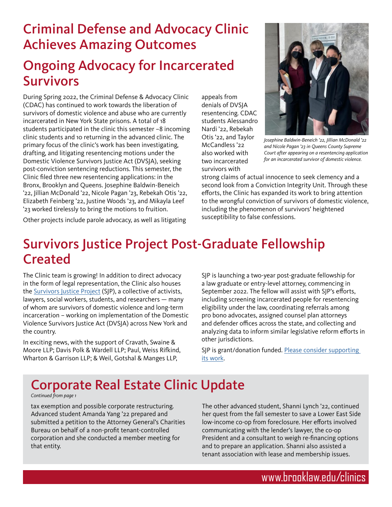## Criminal Defense and Advocacy Clinic Achieves Amazing Outcomes

## Ongoing Advocacy for Incarcerated Survivors

During Spring 2022, the Criminal Defense & Advocacy Clinic (CDAC) has continued to work towards the liberation of survivors of domestic violence and abuse who are currently incarcerated in New York State prisons. A total of 18 students participated in the clinic this semester –8 incoming clinic students and 10 returning in the advanced clinic. The primary focus of the clinic's work has been investigating, drafting, and litigating resentencing motions under the Domestic Violence Survivors Justice Act (DVSJA), seeking post-conviction sentencing reductions. This semester, the Clinic filed three new resentencing applications: in the Bronx, Brooklyn and Queens. Josephine Baldwin-Beneich '22, Jillian McDonald '22, Nicole Pagan '23, Rebekah Otis '22, Elizabeth Feinberg '22, Justine Woods '23, and Mikayla Leef '23 worked tirelessly to bring the motions to fruition.

appeals from denials of DVSJA resentencing. CDAC students Alessandro Nardi '22, Rebekah Otis '22, and Taylor McCandless '22 also worked with two incarcerated survivors with



*Josephine Baldwin-Beneich '22, Jillian McDonald '22 and Nicole Pagan '23 in Queens County Supreme Court after appearing on a resentencing application for an incarcerated survivor of domestic violence.*

strong claims of actual innocence to seek clemency and a second look from a Conviction Integrity Unit. Through these efforts, the Clinic has expanded its work to bring attention to the wrongful conviction of survivors of domestic violence, including the phenomenon of survivors' heightened susceptibility to false confessions.

Other projects include parole advocacy, as well as litigating

## Survivors Justice Project Post-Graduate Fellowship Created

The Clinic team is growing! In addition to direct advocacy in the form of legal representation, the Clinic also houses the **Survivors Justice Project** (SJP), a collective of activists, lawyers, social workers, students, and researchers — many of whom are survivors of domestic violence and long-term incarceration – working on implementation of the Domestic Violence Survivors Justice Act (DVSJA) across New York and the country.

In exciting news, with the support of Cravath, Swaine & Moore LLP; Davis Polk & Wardell LLP; Paul, Weiss Rifkind, Wharton & Garrison LLP; & Weil, Gotshal & Manges LLP,

SJP is launching a two-year post-graduate fellowship for a law graduate or entry-level attorney, commencing in September 2022. The fellow will assist with SJP's efforts, including screening incarcerated people for resentencing eligibility under the law, coordinating referrals among pro bono advocates, assigned counsel plan attorneys and defender offices across the state, and collecting and analyzing data to inform similar legislative reform efforts in other jurisdictions.

SJP is grant/donation funded. [Please consider supporting](https://securelb.imodules.com/s/1286/18/interior-wide.aspx?authkey=Gksb2zy5wdESuum4BTJQVClZJDSQG2pna0kn53xr4Nbi2CGGA%2BD4pQ%3D%3D&bledit=1&cid=4673&dids=35&gid=1&pgid=3342&sid=1286)  [its work](https://securelb.imodules.com/s/1286/18/interior-wide.aspx?authkey=Gksb2zy5wdESuum4BTJQVClZJDSQG2pna0kn53xr4Nbi2CGGA%2BD4pQ%3D%3D&bledit=1&cid=4673&dids=35&gid=1&pgid=3342&sid=1286).

# Corporate Real Estate Clinic Update

*Continued from page 1*

tax exemption and possible corporate restructuring. Advanced student Amanda Yang '22 prepared and submitted a petition to the Attorney General's Charities Bureau on behalf of a non-profit tenant-controlled corporation and she conducted a member meeting for that entity.

The other advanced student, Shanni Lynch '22, continued her quest from the fall semester to save a Lower East Side low-income co-op from foreclosure. Her efforts involved communicating with the lender's lawyer, the co-op President and a consultant to weigh re-financing options and to prepare an application. Shanni also assisted a tenant association with lease and membership issues.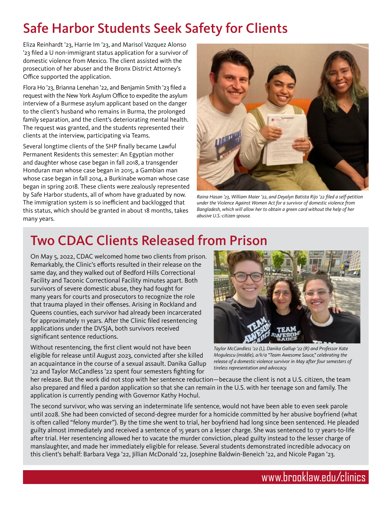## Safe Harbor Students Seek Safety for Clients

Eliza Reinhardt '23, Harrie Im '23, and Marisol Vazquez Alonso '23 filed a U non-immigrant status application for a survivor of domestic violence from Mexico. The client assisted with the prosecution of her abuser and the Bronx District Attorney's Office supported the application.

Flora Ho '23, Brianna Lenehan '22, and Benjamin Smith '23 filed a request with the New York Asylum Office to expedite the asylum interview of a Burmese asylum applicant based on the danger to the client's husband who remains in Burma, the prolonged family separation, and the client's deteriorating mental health. The request was granted, and the students represented their clients at the interview, participating via Teams.

Several longtime clients of the SHP finally became Lawful Permanent Residents this semester: An Egyptian mother and daughter whose case began in fall 2018, a transgender Honduran man whose case began in 2015, a Gambian man whose case began in fall 2014, a Burkinabe woman whose case began in spring 2018. These clients were zealously represented by Safe Harbor students, all of whom have graduated by now. The immigration system is so inefficient and backlogged that this status, which should be granted in about 18 months, takes many years.



*Raina Hasan '23, William Maier '22, and Deyalyn Batista Rijo '22 filed a self-petition under the Violence Against Women Act for a survivor of domestic violence from Bangladesh, which will allow her to obtain a green card without the help of her abusive U.S.-citizen spouse.*

# Two CDAC Clients Released from Prison

On May 5, 2022, CDAC welcomed home two clients from prison. Remarkably, the Clinic's efforts resulted in their release on the same day, and they walked out of Bedford Hills Correctional Facility and Taconic Correctional Facility minutes apart. Both survivors of severe domestic abuse, they had fought for many years for courts and prosecutors to recognize the role that trauma played in their offenses. Arising in Rockland and Queens counties, each survivor had already been incarcerated for approximately 11 years. After the Clinic filed resentencing applications under the DVSJA, both survivors received significant sentence reductions.

Without resentencing, the first client would not have been eligible for release until August 2023, convicted after she killed an acquaintance in the course of a sexual assault. Danika Gallup '22 and Taylor McCandless '22 spent four semesters fighting for



*Taylor McCandless '22 (L), Danika Gallup '22 (R) and Professor Kate Mogulescu (middle), a/k/a "Team Awesome Sauce," celebrating the release of a domestic violence survivor in May after four semesters of tireless representation and advocacy.*

her release. But the work did not stop with her sentence reduction—because the client is not a U.S. citizen, the team also prepared and filed a pardon application so that she can remain in the U.S. with her teenage son and family. The application is currently pending with Governor Kathy Hochul.

The second survivor, who was serving an indeterminate life sentence, would not have been able to even seek parole until 2028. She had been convicted of second-degree murder for a homicide committed by her abusive boyfriend (what is often called "felony murder"). By the time she went to trial, her boyfriend had long since been sentenced. He pleaded guilty almost immediately and received a sentence of 15 years on a lesser charge. She was sentenced to 17 years-to-life after trial. Her resentencing allowed her to vacate the murder conviction, plead guilty instead to the lesser charge of manslaughter, and made her immediately eligible for release. Several students demonstrated incredible advocacy on this client's behalf: Barbara Vega '22, Jillian McDonald '22, Josephine Baldwin-Beneich '22, and Nicole Pagan '23.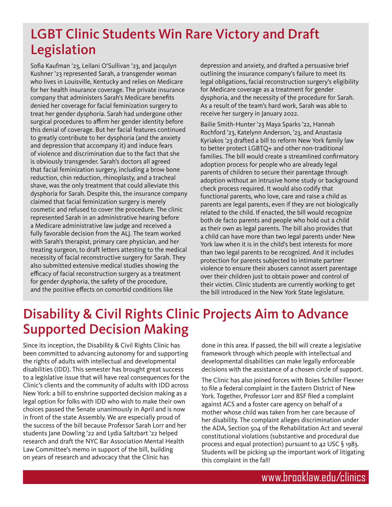## LGBT Clinic Students Win Rare Victory and Draft Legislation

Sofia Kaufman '23, Leilani O'Sullivan '23, and Jacqulyn Kushner '23 represented Sarah, a transgender woman who lives in Louisville, Kentucky and relies on Medicare for her health insurance coverage. The private insurance company that administers Sarah's Medicare benefits denied her coverage for facial feminization surgery to treat her gender dysphoria. Sarah had undergone other surgical procedures to affirm her gender identity before this denial of coverage. But her facial features continued to greatly contribute to her dysphoria (and the anxiety and depression that accompany it) and induce fears of violence and discrimination due to the fact that she is obviously transgender. Sarah's doctors all agreed that facial feminization surgery, including a brow bone reduction, chin reduction, rhinoplasty, and a tracheal shave, was the only treatment that could alleviate this dysphoria for Sarah. Despite this, the insurance company claimed that facial feminization surgery is merely cosmetic and refused to cover the procedure. The clinic represented Sarah in an administrative hearing before a Medicare administrative law judge and received a fully favorable decision from the ALJ. The team worked with Sarah's therapist, primary care physician, and her treating surgeon, to draft letters attesting to the medical necessity of facial reconstructive surgery for Sarah. They also submitted extensive medical studies showing the efficacy of facial reconstruction surgery as a treatment for gender dysphoria, the safety of the procedure, and the positive effects on comorbid conditions like

depression and anxiety, and drafted a persuasive brief outlining the insurance company's failure to meet its legal obligations, facial reconstruction surgery's eligibility for Medicare coverage as a treatment for gender dysphoria, and the necessity of the procedure for Sarah. As a result of the team's hard work, Sarah was able to receive her surgery in January 2022.

Bailie Smith-Hunter '23 Maya Sparks '22, Hannah Rochford '23, Katelynn Anderson, '23, and Anastasia Kyriakos '23 drafted a bill to reform New York family law to better protect LGBTQ+ and other non-traditional families. The bill would create a streamlined confirmatory adoption process for people who are already legal parents of children to secure their parentage through adoption without an intrusive home study or background check process required. It would also codify that functional parents, who love, care and raise a child as parents are legal parents, even if they are not biologically related to the child. If enacted, the bill would recognize both de facto parents and people who hold out a child as their own as legal parents. The bill also provides that a child can have more than two legal parents under New York law when it is in the child's best interests for more than two legal parents to be recognized. And it includes protection for parents subjected to intimate partner violence to ensure their abusers cannot assert parentage over their children just to obtain power and control of their victim. Clinic students are currently working to get the bill introduced in the New York State legislature.

## Disability & Civil Rights Clinic Projects Aim to Advance Supported Decision Making

Since its inception, the Disability & Civil Rights Clinic has been committed to advancing autonomy for and supporting the rights of adults with intellectual and developmental disabilities (IDD). This semester has brought great success to a legislative issue that will have real consequences for the Clinic's clients and the community of adults with IDD across New York: a bill to enshrine supported decision making as a legal option for folks with IDD who wish to make their own choices passed the Senate unanimously in April and is now in front of the state Assembly. We are especially proud of the success of the bill because Professor Sarah Lorr and her students Jane Dowling '22 and Lydia Saltzbart '22 helped research and draft the NYC Bar Association Mental Health Law Committee's memo in support of the bill, building on years of research and advocacy that the Clinic has

done in this area. If passed, the bill will create a legislative framework through which people with intellectual and developmental disabilities can make legally enforceable decisions with the assistance of a chosen circle of support.

The Clinic has also joined forces with Boies Schiller Flexner to file a federal complaint in the Eastern District of New York. Together, Professor Lorr and BSF filed a complaint against ACS and a foster care agency on behalf of a mother whose child was taken from her care because of her disability. The complaint alleges discrimination under the ADA, Section 504 of the Rehabilitation Act and several constitutional violations (substantive and procedural due process and equal protection) pursuant to 42 USC § 1983. Students will be picking up the important work of litigating this complaint in the fall!